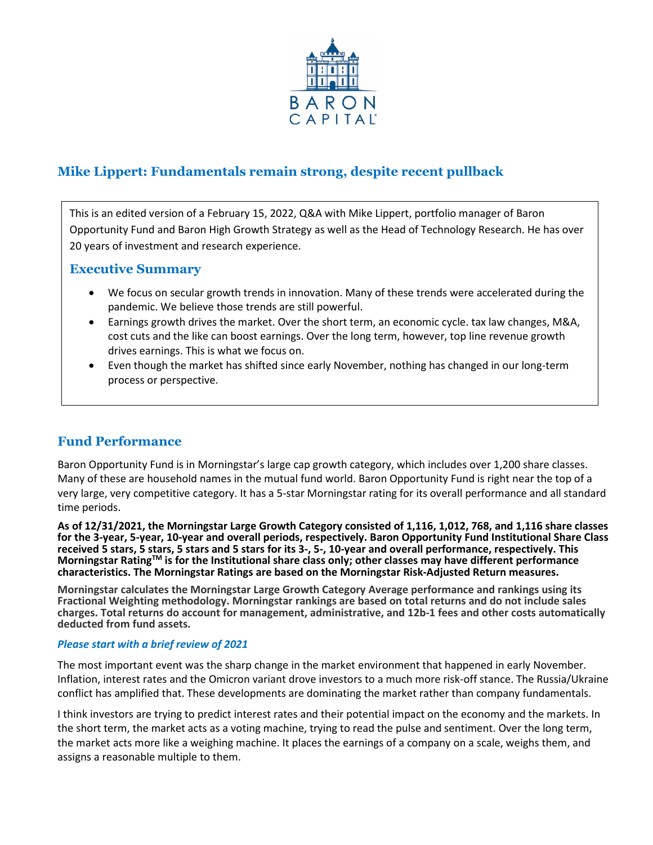

# **Mike Lippert: Fundamentals remain strong, despite recent pullback**

This is an edited version of a February 15, 2022, Q&A with Mike Lippert, portfolio manager of Baron Opportunity Fund and Baron High Growth Strategy as well as the Head of Technology Research. He has over 20 years of investment and research experience.

## **Executive Summary**

- We focus on secular growth trends in innovation. Many of these trends were accelerated during the pandemic. We believe those trends are still powerful.
- Earnings growth drives the market. Over the short term, an economic cycle. tax law changes, M&A, cost cuts and the like can boost earnings. Over the long term, however, top line revenue growth drives earnings. This is what we focus on.
- Even though the market has shifted since early November, nothing has changed in our long-term process or perspective.

## **Fund Performance**

Baron Opportunity Fund is in Morningstar's large cap growth category, which includes over 1,200 share classes. Many of these are household names in the mutual fund world. Baron Opportunity Fund is right near the top of a very large, very competitive category. It has a 5-star Morningstar rating for its overall performance and all standard time periods.

**As of 12/31/2021, the Morningstar Large Growth Category consisted of 1,116, 1,012, 768, and 1,116 share classes for the 3-year, 5-year, 10-year and overall periods, respectively. Baron Opportunity Fund Institutional Share Class received 5 stars, 5 stars, 5 stars and 5 stars for its 3-, 5-, 10-year and overall performance, respectively. This Morningstar RatingTM is for the Institutional share class only; other classes may have different performance characteristics. The Morningstar Ratings are based on the Morningstar Risk-Adjusted Return measures.**

**Morningstar calculates the Morningstar Large Growth Category Average performance and rankings using its Fractional Weighting methodology. Morningstar rankings are based on total returns and do not include sales charges. Total returns do account for management, administrative, and 12b-1 fees and other costs automatically deducted from fund assets.**

## *Please start with a brief review of 2021*

The most important event was the sharp change in the market environment that happened in early November. Inflation, interest rates and the Omicron variant drove investors to a much more risk-off stance. The Russia/Ukraine conflict has amplified that. These developments are dominating the market rather than company fundamentals.

I think investors are trying to predict interest rates and their potential impact on the economy and the markets. In the short term, the market acts as a voting machine, trying to read the pulse and sentiment. Over the long term, the market acts more like a weighing machine. It places the earnings of a company on a scale, weighs them, and assigns a reasonable multiple to them.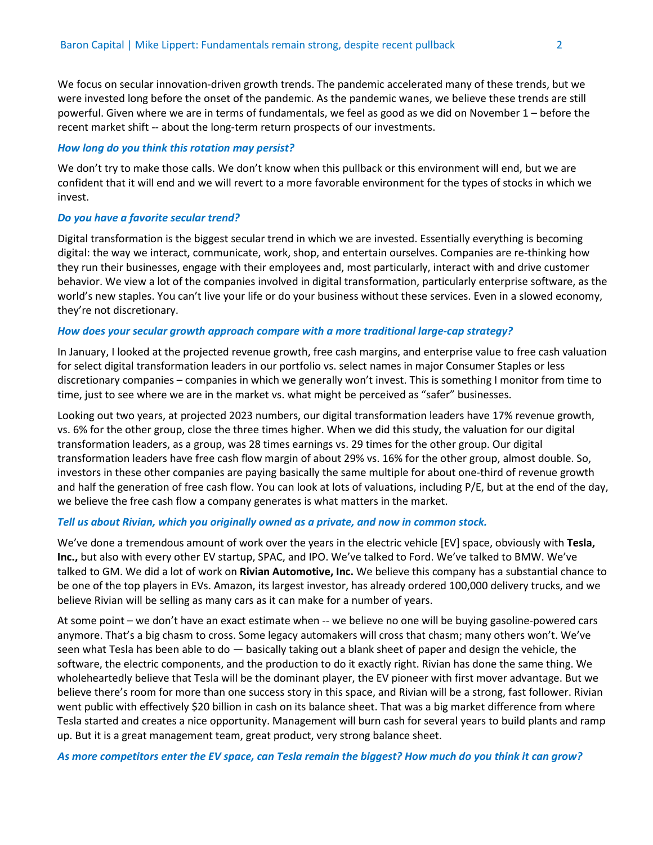We focus on secular innovation-driven growth trends. The pandemic accelerated many of these trends, but we were invested long before the onset of the pandemic. As the pandemic wanes, we believe these trends are still powerful. Given where we are in terms of fundamentals, we feel as good as we did on November 1 – before the recent market shift -- about the long-term return prospects of our investments.

#### *How long do you think this rotation may persist?*

We don't try to make those calls. We don't know when this pullback or this environment will end, but we are confident that it will end and we will revert to a more favorable environment for the types of stocks in which we invest.

#### *Do you have a favorite secular trend?*

Digital transformation is the biggest secular trend in which we are invested. Essentially everything is becoming digital: the way we interact, communicate, work, shop, and entertain ourselves. Companies are re-thinking how they run their businesses, engage with their employees and, most particularly, interact with and drive customer behavior. We view a lot of the companies involved in digital transformation, particularly enterprise software, as the world's new staples. You can't live your life or do your business without these services. Even in a slowed economy, they're not discretionary.

#### *How does your secular growth approach compare with a more traditional large-cap strategy?*

In January, I looked at the projected revenue growth, free cash margins, and enterprise value to free cash valuation for select digital transformation leaders in our portfolio vs. select names in major Consumer Staples or less discretionary companies – companies in which we generally won't invest. This is something I monitor from time to time, just to see where we are in the market vs. what might be perceived as "safer" businesses.

Looking out two years, at projected 2023 numbers, our digital transformation leaders have 17% revenue growth, vs. 6% for the other group, close the three times higher. When we did this study, the valuation for our digital transformation leaders, as a group, was 28 times earnings vs. 29 times for the other group. Our digital transformation leaders have free cash flow margin of about 29% vs. 16% for the other group, almost double. So, investors in these other companies are paying basically the same multiple for about one-third of revenue growth and half the generation of free cash flow. You can look at lots of valuations, including P/E, but at the end of the day, we believe the free cash flow a company generates is what matters in the market.

#### *Tell us about Rivian, which you originally owned as a private, and now in common stock.*

We've done a tremendous amount of work over the years in the electric vehicle [EV] space, obviously with **Tesla, Inc.,** but also with every other EV startup, SPAC, and IPO. We've talked to Ford. We've talked to BMW. We've talked to GM. We did a lot of work on **Rivian Automotive, Inc.** We believe this company has a substantial chance to be one of the top players in EVs. Amazon, its largest investor, has already ordered 100,000 delivery trucks, and we believe Rivian will be selling as many cars as it can make for a number of years.

At some point – we don't have an exact estimate when -- we believe no one will be buying gasoline-powered cars anymore. That's a big chasm to cross. Some legacy automakers will cross that chasm; many others won't. We've seen what Tesla has been able to do — basically taking out a blank sheet of paper and design the vehicle, the software, the electric components, and the production to do it exactly right. Rivian has done the same thing. We wholeheartedly believe that Tesla will be the dominant player, the EV pioneer with first mover advantage. But we believe there's room for more than one success story in this space, and Rivian will be a strong, fast follower. Rivian went public with effectively \$20 billion in cash on its balance sheet. That was a big market difference from where Tesla started and creates a nice opportunity. Management will burn cash for several years to build plants and ramp up. But it is a great management team, great product, very strong balance sheet.

*As more competitors enter the EV space, can Tesla remain the biggest? How much do you think it can grow?*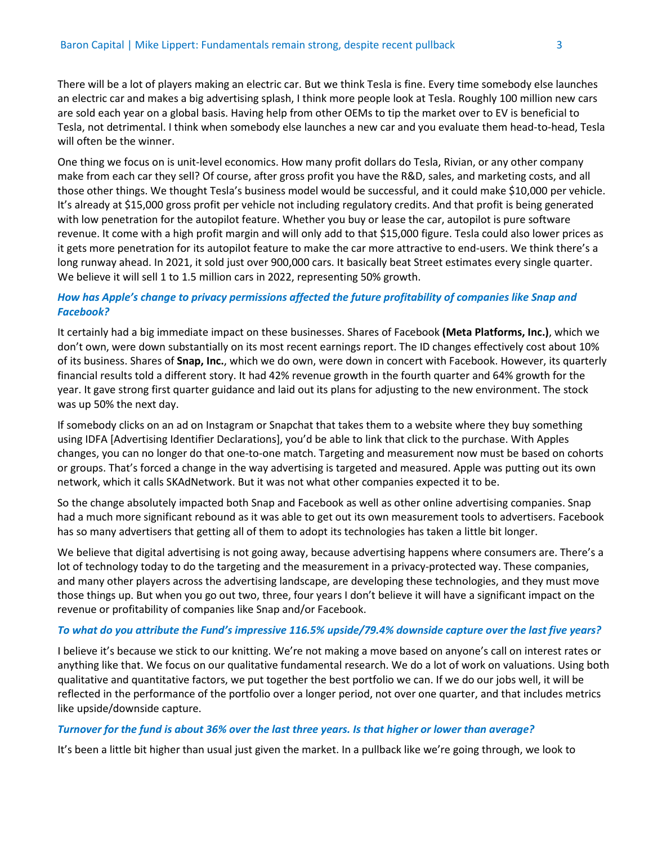There will be a lot of players making an electric car. But we think Tesla is fine. Every time somebody else launches an electric car and makes a big advertising splash, I think more people look at Tesla. Roughly 100 million new cars are sold each year on a global basis. Having help from other OEMs to tip the market over to EV is beneficial to Tesla, not detrimental. I think when somebody else launches a new car and you evaluate them head-to-head, Tesla will often be the winner.

One thing we focus on is unit-level economics. How many profit dollars do Tesla, Rivian, or any other company make from each car they sell? Of course, after gross profit you have the R&D, sales, and marketing costs, and all those other things. We thought Tesla's business model would be successful, and it could make \$10,000 per vehicle. It's already at \$15,000 gross profit per vehicle not including regulatory credits. And that profit is being generated with low penetration for the autopilot feature. Whether you buy or lease the car, autopilot is pure software revenue. It come with a high profit margin and will only add to that \$15,000 figure. Tesla could also lower prices as it gets more penetration for its autopilot feature to make the car more attractive to end-users. We think there's a long runway ahead. In 2021, it sold just over 900,000 cars. It basically beat Street estimates every single quarter. We believe it will sell 1 to 1.5 million cars in 2022, representing 50% growth.

## *How has Apple's change to privacy permissions affected the future profitability of companies like Snap and Facebook?*

It certainly had a big immediate impact on these businesses. Shares of Facebook **(Meta Platforms, Inc.)**, which we don't own, were down substantially on its most recent earnings report. The ID changes effectively cost about 10% of its business. Shares of **Snap, Inc.**, which we do own, were down in concert with Facebook. However, its quarterly financial results told a different story. It had 42% revenue growth in the fourth quarter and 64% growth for the year. It gave strong first quarter guidance and laid out its plans for adjusting to the new environment. The stock was up 50% the next day.

If somebody clicks on an ad on Instagram or Snapchat that takes them to a website where they buy something using IDFA [Advertising Identifier Declarations], you'd be able to link that click to the purchase. With Apples changes, you can no longer do that one-to-one match. Targeting and measurement now must be based on cohorts or groups. That's forced a change in the way advertising is targeted and measured. Apple was putting out its own network, which it calls SKAdNetwork. But it was not what other companies expected it to be.

So the change absolutely impacted both Snap and Facebook as well as other online advertising companies. Snap had a much more significant rebound as it was able to get out its own measurement tools to advertisers. Facebook has so many advertisers that getting all of them to adopt its technologies has taken a little bit longer.

We believe that digital advertising is not going away, because advertising happens where consumers are. There's a lot of technology today to do the targeting and the measurement in a privacy-protected way. These companies, and many other players across the advertising landscape, are developing these technologies, and they must move those things up. But when you go out two, three, four years I don't believe it will have a significant impact on the revenue or profitability of companies like Snap and/or Facebook.

#### *To what do you attribute the Fund's impressive 116.5% upside/79.4% downside capture over the last five years?*

I believe it's because we stick to our knitting. We're not making a move based on anyone's call on interest rates or anything like that. We focus on our qualitative fundamental research. We do a lot of work on valuations. Using both qualitative and quantitative factors, we put together the best portfolio we can. If we do our jobs well, it will be reflected in the performance of the portfolio over a longer period, not over one quarter, and that includes metrics like upside/downside capture.

#### *Turnover for the fund is about 36% over the last three years. Is that higher or lower than average?*

It's been a little bit higher than usual just given the market. In a pullback like we're going through, we look to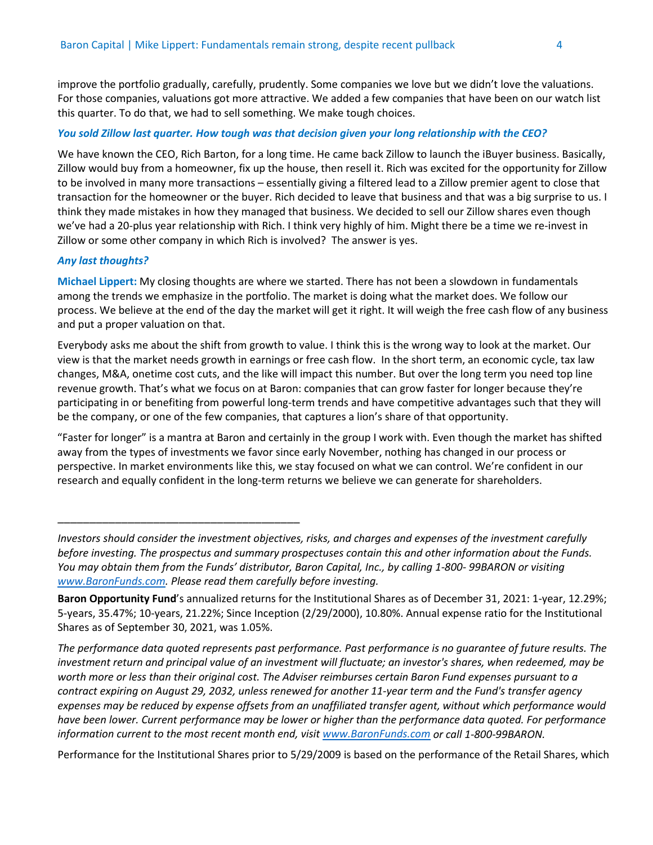improve the portfolio gradually, carefully, prudently. Some companies we love but we didn't love the valuations. For those companies, valuations got more attractive. We added a few companies that have been on our watch list this quarter. To do that, we had to sell something. We make tough choices.

## *You sold Zillow last quarter. How tough was that decision given your long relationship with the CEO?*

We have known the CEO, Rich Barton, for a long time. He came back Zillow to launch the iBuyer business. Basically, Zillow would buy from a homeowner, fix up the house, then resell it. Rich was excited for the opportunity for Zillow to be involved in many more transactions – essentially giving a filtered lead to a Zillow premier agent to close that transaction for the homeowner or the buyer. Rich decided to leave that business and that was a big surprise to us. I think they made mistakes in how they managed that business. We decided to sell our Zillow shares even though we've had a 20-plus year relationship with Rich. I think very highly of him. Might there be a time we re-invest in Zillow or some other company in which Rich is involved? The answer is yes.

### *Any last thoughts?*

\_\_\_\_\_\_\_\_\_\_\_\_\_\_\_\_\_\_\_\_\_\_\_\_\_\_\_\_\_\_\_\_\_\_\_\_\_\_

**Michael Lippert:** My closing thoughts are where we started. There has not been a slowdown in fundamentals among the trends we emphasize in the portfolio. The market is doing what the market does. We follow our process. We believe at the end of the day the market will get it right. It will weigh the free cash flow of any business and put a proper valuation on that.

Everybody asks me about the shift from growth to value. I think this is the wrong way to look at the market. Our view is that the market needs growth in earnings or free cash flow. In the short term, an economic cycle, tax law changes, M&A, onetime cost cuts, and the like will impact this number. But over the long term you need top line revenue growth. That's what we focus on at Baron: companies that can grow faster for longer because they're participating in or benefiting from powerful long-term trends and have competitive advantages such that they will be the company, or one of the few companies, that captures a lion's share of that opportunity.

"Faster for longer" is a mantra at Baron and certainly in the group I work with. Even though the market has shifted away from the types of investments we favor since early November, nothing has changed in our process or perspective. In market environments like this, we stay focused on what we can control. We're confident in our research and equally confident in the long-term returns we believe we can generate for shareholders.

*The performance data quoted represents past performance. Past performance is no guarantee of future results. The investment return and principal value of an investment will fluctuate; an investor's shares, when redeemed, may be worth more or less than their original cost. The Adviser reimburses certain Baron Fund expenses pursuant to a contract expiring on August 29, 2032, unless renewed for another 11-year term and the Fund's transfer agency expenses may be reduced by expense offsets from an unaffiliated transfer agent, without which performance would have been lower. Current performance may be lower or higher than the performance data quoted. For performance information current to the most recent month end, visi[t www.BaronFunds.com](http://www.baronfunds.com/) or call 1-800-99BARON.*

Performance for the Institutional Shares prior to 5/29/2009 is based on the performance of the Retail Shares, which

*Investors should consider the investment objectives, risks, and charges and expenses of the investment carefully before investing. The prospectus and summary prospectuses contain this and other information about the Funds. You may obtain them from the Funds' distributor, Baron Capital, Inc., by calling 1-800- 99BARON or visiting [www.BaronFunds.com. P](http://www.baronfunds.com/)lease read them carefully before investing.*

**Baron Opportunity Fund**'s annualized returns for the Institutional Shares as of December 31, 2021: 1-year, 12.29%; 5-years, 35.47%; 10-years, 21.22%; Since Inception (2/29/2000), 10.80%. Annual expense ratio for the Institutional Shares as of September 30, 2021, was 1.05%.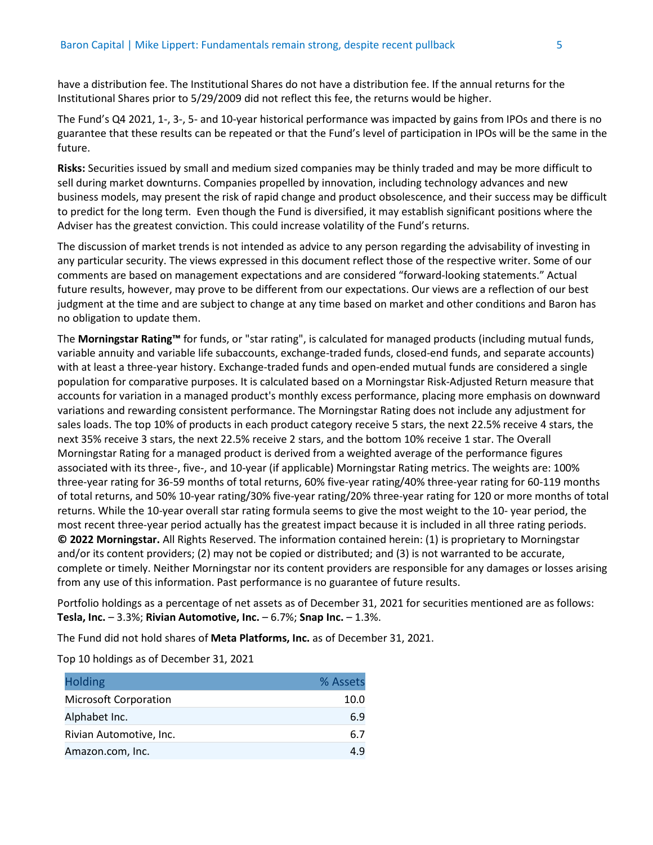have a distribution fee. The Institutional Shares do not have a distribution fee. If the annual returns for the Institutional Shares prior to 5/29/2009 did not reflect this fee, the returns would be higher.

The Fund's Q4 2021, 1-, 3-, 5- and 10-year historical performance was impacted by gains from IPOs and there is no guarantee that these results can be repeated or that the Fund's level of participation in IPOs will be the same in the future.

**Risks:** Securities issued by small and medium sized companies may be thinly traded and may be more difficult to sell during market downturns. Companies propelled by innovation, including technology advances and new business models, may present the risk of rapid change and product obsolescence, and their success may be difficult to predict for the long term. Even though the Fund is diversified, it may establish significant positions where the Adviser has the greatest conviction. This could increase volatility of the Fund's returns.

The discussion of market trends is not intended as advice to any person regarding the advisability of investing in any particular security. The views expressed in this document reflect those of the respective writer. Some of our comments are based on management expectations and are considered "forward-looking statements." Actual future results, however, may prove to be different from our expectations. Our views are a reflection of our best judgment at the time and are subject to change at any time based on market and other conditions and Baron has no obligation to update them.

The **Morningstar Rating™** for funds, or "star rating", is calculated for managed products (including mutual funds, variable annuity and variable life subaccounts, exchange-traded funds, closed-end funds, and separate accounts) with at least a three-year history. Exchange-traded funds and open-ended mutual funds are considered a single population for comparative purposes. It is calculated based on a Morningstar Risk-Adjusted Return measure that accounts for variation in a managed product's monthly excess performance, placing more emphasis on downward variations and rewarding consistent performance. The Morningstar Rating does not include any adjustment for sales loads. The top 10% of products in each product category receive 5 stars, the next 22.5% receive 4 stars, the next 35% receive 3 stars, the next 22.5% receive 2 stars, and the bottom 10% receive 1 star. The Overall Morningstar Rating for a managed product is derived from a weighted average of the performance figures associated with its three-, five-, and 10-year (if applicable) Morningstar Rating metrics. The weights are: 100% three-year rating for 36-59 months of total returns, 60% five-year rating/40% three-year rating for 60-119 months of total returns, and 50% 10-year rating/30% five-year rating/20% three-year rating for 120 or more months of total returns. While the 10-year overall star rating formula seems to give the most weight to the 10- year period, the most recent three-year period actually has the greatest impact because it is included in all three rating periods. **© 2022 Morningstar.** All Rights Reserved. The information contained herein: (1) is proprietary to Morningstar and/or its content providers; (2) may not be copied or distributed; and (3) is not warranted to be accurate, complete or timely. Neither Morningstar nor its content providers are responsible for any damages or losses arising from any use of this information. Past performance is no guarantee of future results.

Portfolio holdings as a percentage of net assets as of December 31, 2021 for securities mentioned are as follows: **Tesla, Inc.** – 3.3%; **Rivian Automotive, Inc.** – 6.7%; **Snap Inc.** – 1.3%.

The Fund did not hold shares of **Meta Platforms, Inc.** as of December 31, 2021.

Top 10 holdings as of December 31, 2021

| <b>Holding</b>               | % Assets |
|------------------------------|----------|
| <b>Microsoft Corporation</b> | 10.0     |
| Alphabet Inc.                | 6.9      |
| Rivian Automotive, Inc.      | 6.7      |
| Amazon.com, Inc.             | 49       |